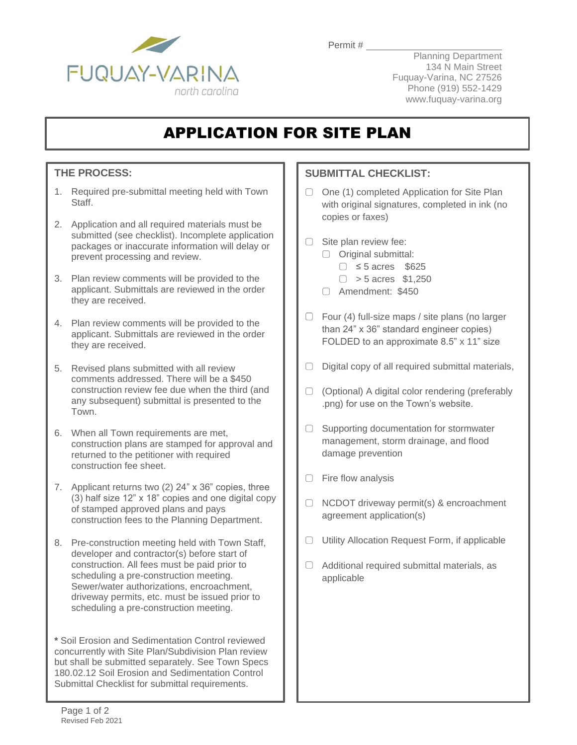

Permit #

Planning Department 134 N Main Street Fuquay-Varina, NC 27526 Phone (919) 552-1429 www.fuquay-varina.org

## APPLICATION FOR SITE PLAN

## **THE PROCESS:**

- 1. Required pre-submittal meeting held with Town Staff.
- 2. Application and all required materials must be submitted (see checklist). Incomplete application packages or inaccurate information will delay or prevent processing and review.
- 3. Plan review comments will be provided to the applicant. Submittals are reviewed in the order they are received.
- 4. Plan review comments will be provided to the applicant. Submittals are reviewed in the order they are received.
- 5. Revised plans submitted with all review comments addressed. There will be a \$450 construction review fee due when the third (and any subsequent) submittal is presented to the Town.
- 6. When all Town requirements are met, construction plans are stamped for approval and returned to the petitioner with required construction fee sheet.
- 7. Applicant returns two (2) 24" x 36" copies, three (3) half size 12" x 18" copies and one digital copy of stamped approved plans and pays construction fees to the Planning Department.
- 8. Pre-construction meeting held with Town Staff, developer and contractor(s) before start of construction. All fees must be paid prior to scheduling a pre-construction meeting. Sewer/water authorizations, encroachment, driveway permits, etc. must be issued prior to scheduling a pre-construction meeting.

**\*** Soil Erosion and Sedimentation Control reviewed concurrently with Site Plan/Subdivision Plan review but shall be submitted separately. See Town Specs 180.02.12 Soil Erosion and Sedimentation Control Submittal Checklist for submittal requirements.

## **SUBMITTAL CHECKLIST:**

- $\Box$  One (1) completed Application for Site Plan with original signatures, completed in ink (no copies or faxes)
- $\Box$  Site plan review fee:
	- O Original submittal:
		- ≤ 5 acres \$625
		- $\Box$  > 5 acres \$1,250
	- Amendment: \$450
- $\Box$  Four (4) full-size maps / site plans (no larger than 24" x 36" standard engineer copies) FOLDED to an approximate 8.5" x 11" size
- $\Box$  Digital copy of all required submittal materials,
- $\Box$  (Optional) A digital color rendering (preferably .png) for use on the Town's website.
- $\Box$  Supporting documentation for stormwater management, storm drainage, and flood damage prevention
- $\Box$  Fire flow analysis
- $\Box$  NCDOT driveway permit(s) & encroachment agreement application(s)
- $\Box$  Utility Allocation Request Form, if applicable
- $\Box$  Additional required submittal materials, as applicable